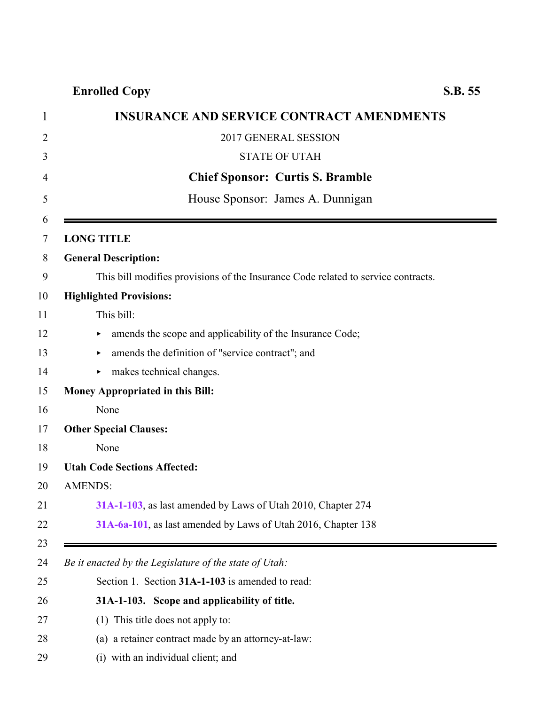<span id="page-0-0"></span>

|                   | <b>INSURANCE AND SERVICE CONTRACT AMENDMENTS</b>                                  |
|-------------------|-----------------------------------------------------------------------------------|
|                   | 2017 GENERAL SESSION                                                              |
|                   | <b>STATE OF UTAH</b>                                                              |
|                   | <b>Chief Sponsor: Curtis S. Bramble</b>                                           |
|                   | House Sponsor: James A. Dunnigan                                                  |
| <b>LONG TITLE</b> |                                                                                   |
|                   | <b>General Description:</b>                                                       |
|                   | This bill modifies provisions of the Insurance Code related to service contracts. |
|                   | <b>Highlighted Provisions:</b>                                                    |
|                   | This bill:                                                                        |
| ٠                 | amends the scope and applicability of the Insurance Code;                         |
| ▶                 | amends the definition of "service contract"; and                                  |
| ▶                 | makes technical changes.                                                          |
|                   | <b>Money Appropriated in this Bill:</b>                                           |
|                   | None                                                                              |
|                   | <b>Other Special Clauses:</b>                                                     |
|                   | None                                                                              |
|                   | <b>Utah Code Sections Affected:</b>                                               |
| <b>AMENDS:</b>    |                                                                                   |
|                   | 31A-1-103, as last amended by Laws of Utah 2010, Chapter 274                      |
|                   | 31A-6a-101, as last amended by Laws of Utah 2016, Chapter 138                     |
|                   | Be it enacted by the Legislature of the state of Utah:                            |
|                   | Section 1. Section 31A-1-103 is amended to read:                                  |
|                   | 31A-1-103. Scope and applicability of title.                                      |
|                   | (1) This title does not apply to:                                                 |

- (a) a retainer contract made by an attorney-at-law:
- 29 (i) with an individual client; and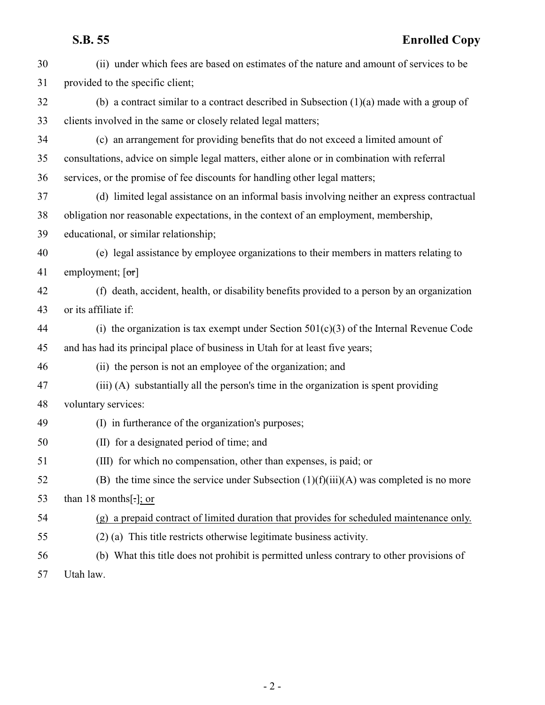## **S.B. 55 Enrolled Copy**

| 30 | (ii) under which fees are based on estimates of the nature and amount of services to be     |
|----|---------------------------------------------------------------------------------------------|
| 31 | provided to the specific client;                                                            |
| 32 | (b) a contract similar to a contract described in Subsection $(1)(a)$ made with a group of  |
| 33 | clients involved in the same or closely related legal matters;                              |
| 34 | (c) an arrangement for providing benefits that do not exceed a limited amount of            |
| 35 | consultations, advice on simple legal matters, either alone or in combination with referral |
| 36 | services, or the promise of fee discounts for handling other legal matters;                 |
| 37 | (d) limited legal assistance on an informal basis involving neither an express contractual  |
| 38 | obligation nor reasonable expectations, in the context of an employment, membership,        |
| 39 | educational, or similar relationship;                                                       |
| 40 | (e) legal assistance by employee organizations to their members in matters relating to      |
| 41 | employment; $[\sigma r]$                                                                    |
| 42 | (f) death, accident, health, or disability benefits provided to a person by an organization |
| 43 | or its affiliate if:                                                                        |
| 44 | (i) the organization is tax exempt under Section $501(c)(3)$ of the Internal Revenue Code   |
| 45 | and has had its principal place of business in Utah for at least five years;                |
| 46 | (ii) the person is not an employee of the organization; and                                 |
| 47 | (iii) (A) substantially all the person's time in the organization is spent providing        |
| 48 | voluntary services:                                                                         |
| 49 | (I) in furtherance of the organization's purposes;                                          |
| 50 | (II) for a designated period of time; and                                                   |
| 51 | (III) for which no compensation, other than expenses, is paid; or                           |
| 52 | (B) the time since the service under Subsection $(1)(f(iii)(A))$ was completed is no more   |
| 53 | than 18 months[ $:$ ]; or                                                                   |
| 54 | (g) a prepaid contract of limited duration that provides for scheduled maintenance only.    |
| 55 | (2) (a) This title restricts otherwise legitimate business activity.                        |
| 56 | (b) What this title does not prohibit is permitted unless contrary to other provisions of   |
| 57 | Utah law.                                                                                   |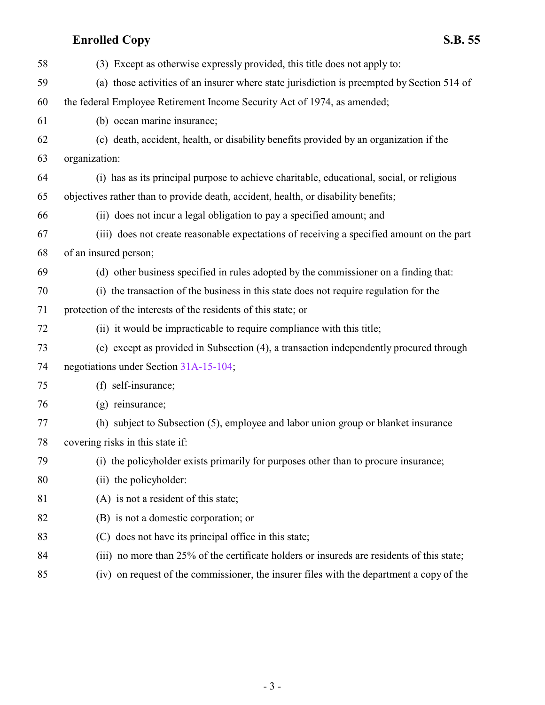| 58 | (3) Except as otherwise expressly provided, this title does not apply to:                  |
|----|--------------------------------------------------------------------------------------------|
| 59 | (a) those activities of an insurer where state jurisdiction is preempted by Section 514 of |
| 60 | the federal Employee Retirement Income Security Act of 1974, as amended;                   |
| 61 | (b) ocean marine insurance;                                                                |
| 62 | (c) death, accident, health, or disability benefits provided by an organization if the     |
| 63 | organization:                                                                              |
| 64 | (i) has as its principal purpose to achieve charitable, educational, social, or religious  |
| 65 | objectives rather than to provide death, accident, health, or disability benefits;         |
| 66 | (ii) does not incur a legal obligation to pay a specified amount; and                      |
| 67 | (iii) does not create reasonable expectations of receiving a specified amount on the part  |
| 68 | of an insured person;                                                                      |
| 69 | (d) other business specified in rules adopted by the commissioner on a finding that:       |
| 70 | (i) the transaction of the business in this state does not require regulation for the      |
| 71 | protection of the interests of the residents of this state; or                             |
| 72 | (ii) it would be impracticable to require compliance with this title;                      |
| 73 | (e) except as provided in Subsection (4), a transaction independently procured through     |
| 74 | negotiations under Section 31A-15-104;                                                     |
| 75 | (f) self-insurance;                                                                        |
| 76 | (g) reinsurance;                                                                           |
| 77 | (h) subject to Subsection (5), employee and labor union group or blanket insurance         |
| 78 | covering risks in this state if:                                                           |
| 79 | (i) the policyholder exists primarily for purposes other than to procure insurance;        |
| 80 | (ii) the policyholder:                                                                     |
| 81 | (A) is not a resident of this state;                                                       |
| 82 | (B) is not a domestic corporation; or                                                      |
| 83 | (C) does not have its principal office in this state;                                      |
| 84 | (iii) no more than 25% of the certificate holders or insureds are residents of this state; |
| 85 | (iv) on request of the commissioner, the insurer files with the department a copy of the   |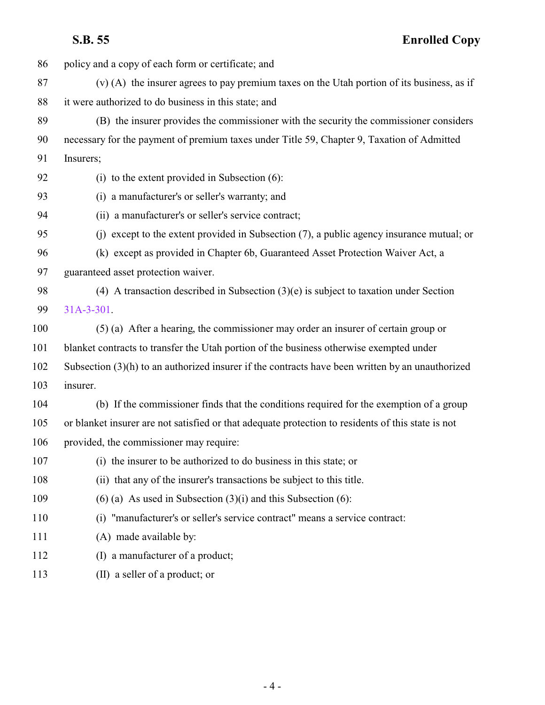policy and a copy of each form or certificate; and (v) (A) the insurer agrees to pay premium taxes on the Utah portion of its business, as if it were authorized to do business in this state; and (B) the insurer provides the commissioner with the security the commissioner considers necessary for the payment of premium taxes under Title 59, Chapter 9, Taxation of Admitted Insurers; (i) to the extent provided in Subsection (6): (i) a manufacturer's or seller's warranty; and (ii) a manufacturer's or seller's service contract; (j) except to the extent provided in Subsection (7), a public agency insurance mutual; or (k) except as provided in Chapter 6b, Guaranteed Asset Protection Waiver Act, a guaranteed asset protection waiver. (4) A transaction described in Subsection (3)(e) is subject to taxation under Section [31A-3-301](http://le.utah.gov/UtahCode/SectionLookup.jsp?section=31a-3-301&session=2017GS). (5) (a) After a hearing, the commissioner may order an insurer of certain group or blanket contracts to transfer the Utah portion of the business otherwise exempted under Subsection (3)(h) to an authorized insurer if the contracts have been written by an unauthorized insurer. (b) If the commissioner finds that the conditions required for the exemption of a group or blanket insurer are not satisfied or that adequate protection to residents of this state is not provided, the commissioner may require: (i) the insurer to be authorized to do business in this state; or (ii) that any of the insurer's transactions be subject to this title. 109 (6) (a) As used in Subsection  $(3)(i)$  and this Subsection (6): (i) "manufacturer's or seller's service contract" means a service contract: 111 (A) made available by: 112 (I) a manufacturer of a product; (II) a seller of a product; or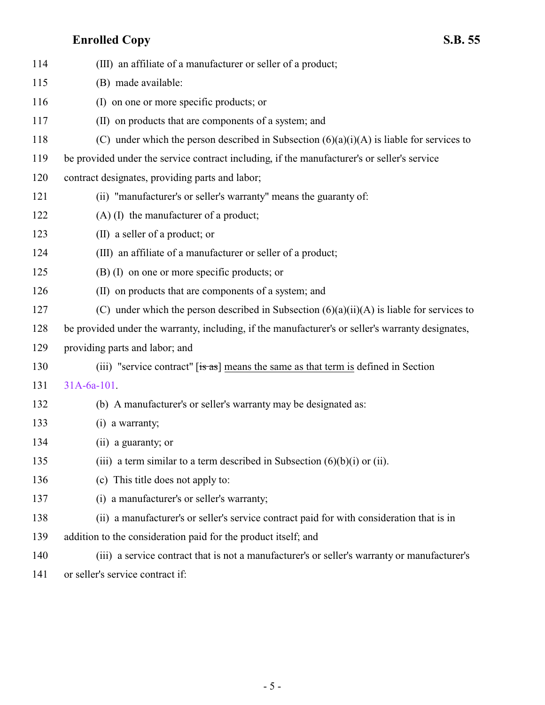| 114 | (III) an affiliate of a manufacturer or seller of a product;                                      |
|-----|---------------------------------------------------------------------------------------------------|
| 115 | (B) made available:                                                                               |
| 116 | (I) on one or more specific products; or                                                          |
| 117 | (II) on products that are components of a system; and                                             |
| 118 | (C) under which the person described in Subsection $(6)(a)(i)(A)$ is liable for services to       |
| 119 | be provided under the service contract including, if the manufacturer's or seller's service       |
| 120 | contract designates, providing parts and labor;                                                   |
| 121 | (ii) "manufacturer's or seller's warranty" means the guaranty of:                                 |
| 122 | $(A)$ (I) the manufacturer of a product;                                                          |
| 123 | (II) a seller of a product; or                                                                    |
| 124 | (III) an affiliate of a manufacturer or seller of a product;                                      |
| 125 | $(B)$ (I) on one or more specific products; or                                                    |
| 126 | (II) on products that are components of a system; and                                             |
| 127 | (C) under which the person described in Subsection $(6)(a)(ii)(A)$ is liable for services to      |
| 128 | be provided under the warranty, including, if the manufacturer's or seller's warranty designates, |
| 129 | providing parts and labor; and                                                                    |
| 130 | (iii) "service contract" $[s\overline{a}s]$ means the same as that term is defined in Section     |
| 131 | $31A-6a-101$ .                                                                                    |
| 132 | (b) A manufacturer's or seller's warranty may be designated as:                                   |
| 133 | $(i)$ a warranty;                                                                                 |
| 134 | (ii) a guaranty; or                                                                               |
| 135 | (iii) a term similar to a term described in Subsection $(6)(b)(i)$ or (ii).                       |
| 136 | (c) This title does not apply to:                                                                 |
| 137 | (i) a manufacturer's or seller's warranty;                                                        |
| 138 | (ii) a manufacturer's or seller's service contract paid for with consideration that is in         |
| 139 | addition to the consideration paid for the product itself; and                                    |
| 140 | (iii) a service contract that is not a manufacturer's or seller's warranty or manufacturer's      |
|     |                                                                                                   |

or seller's service contract if: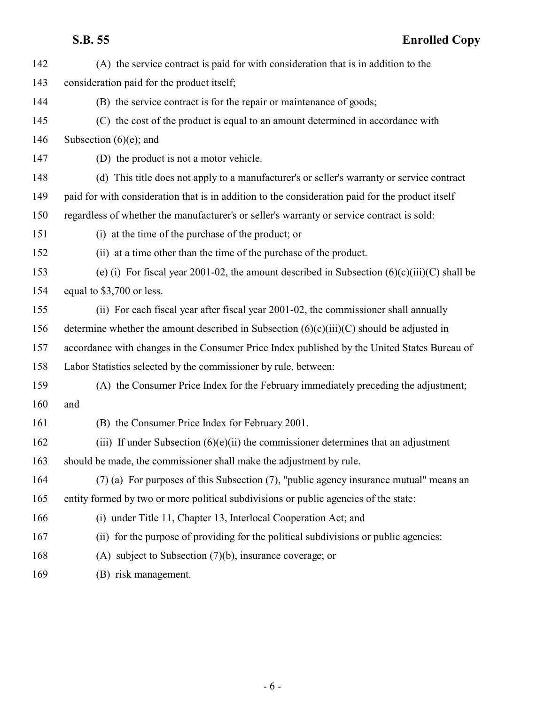| 142 | (A) the service contract is paid for with consideration that is in addition to the               |
|-----|--------------------------------------------------------------------------------------------------|
| 143 | consideration paid for the product itself;                                                       |
| 144 | (B) the service contract is for the repair or maintenance of goods;                              |
| 145 | (C) the cost of the product is equal to an amount determined in accordance with                  |
| 146 | Subsection $(6)(e)$ ; and                                                                        |
| 147 | (D) the product is not a motor vehicle.                                                          |
| 148 | (d) This title does not apply to a manufacturer's or seller's warranty or service contract       |
| 149 | paid for with consideration that is in addition to the consideration paid for the product itself |
| 150 | regardless of whether the manufacturer's or seller's warranty or service contract is sold:       |
| 151 | (i) at the time of the purchase of the product; or                                               |
| 152 | (ii) at a time other than the time of the purchase of the product.                               |
| 153 | (e) (i) For fiscal year 2001-02, the amount described in Subsection $(6)(c)(iii)(C)$ shall be    |
| 154 | equal to \$3,700 or less.                                                                        |
| 155 | (ii) For each fiscal year after fiscal year 2001-02, the commissioner shall annually             |
| 156 | determine whether the amount described in Subsection $(6)(c)(iii)(C)$ should be adjusted in      |
| 157 | accordance with changes in the Consumer Price Index published by the United States Bureau of     |
| 158 | Labor Statistics selected by the commissioner by rule, between:                                  |
| 159 | (A) the Consumer Price Index for the February immediately preceding the adjustment;              |
| 160 | and                                                                                              |
| 161 | (B) the Consumer Price Index for February 2001.                                                  |
| 162 | (iii) If under Subsection $(6)(e)(ii)$ the commissioner determines that an adjustment            |
| 163 | should be made, the commissioner shall make the adjustment by rule.                              |
| 164 | (7) (a) For purposes of this Subsection (7), "public agency insurance mutual" means an           |
| 165 | entity formed by two or more political subdivisions or public agencies of the state:             |
| 166 | (i) under Title 11, Chapter 13, Interlocal Cooperation Act; and                                  |
| 167 | (ii) for the purpose of providing for the political subdivisions or public agencies:             |
| 168 | (A) subject to Subsection $(7)(b)$ , insurance coverage; or                                      |
| 169 | (B) risk management.                                                                             |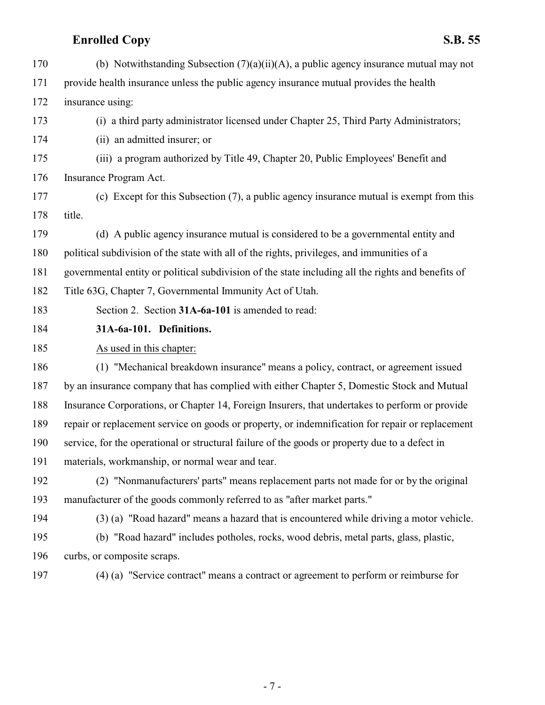<span id="page-6-0"></span>

| 170 | (b) Notwithstanding Subsection $(7)(a)(ii)(A)$ , a public agency insurance mutual may not          |
|-----|----------------------------------------------------------------------------------------------------|
| 171 | provide health insurance unless the public agency insurance mutual provides the health             |
| 172 | insurance using:                                                                                   |
| 173 | (i) a third party administrator licensed under Chapter 25, Third Party Administrators;             |
| 174 | (ii) an admitted insurer; or                                                                       |
| 175 | (iii) a program authorized by Title 49, Chapter 20, Public Employees' Benefit and                  |
| 176 | Insurance Program Act.                                                                             |
| 177 | (c) Except for this Subsection (7), a public agency insurance mutual is exempt from this           |
| 178 | title.                                                                                             |
| 179 | (d) A public agency insurance mutual is considered to be a governmental entity and                 |
| 180 | political subdivision of the state with all of the rights, privileges, and immunities of a         |
| 181 | governmental entity or political subdivision of the state including all the rights and benefits of |
| 182 | Title 63G, Chapter 7, Governmental Immunity Act of Utah.                                           |
| 183 | Section 2. Section 31A-6a-101 is amended to read:                                                  |
| 184 | 31A-6a-101. Definitions.                                                                           |
| 185 | As used in this chapter:                                                                           |
| 186 | (1) "Mechanical breakdown insurance" means a policy, contract, or agreement issued                 |
| 187 | by an insurance company that has complied with either Chapter 5, Domestic Stock and Mutual         |
| 188 | Insurance Corporations, or Chapter 14, Foreign Insurers, that undertakes to perform or provide     |
| 189 | repair or replacement service on goods or property, or indemnification for repair or replacement   |
| 190 | service, for the operational or structural failure of the goods or property due to a defect in     |
| 191 | materials, workmanship, or normal wear and tear.                                                   |
| 192 | (2) "Nonmanufacturers' parts" means replacement parts not made for or by the original              |
| 193 | manufacturer of the goods commonly referred to as "after market parts."                            |
| 194 | (3) (a) "Road hazard" means a hazard that is encountered while driving a motor vehicle.            |
| 195 | (b) "Road hazard" includes potholes, rocks, wood debris, metal parts, glass, plastic,              |
| 196 | curbs, or composite scraps.                                                                        |
| 197 |                                                                                                    |
|     | (4) (a) "Service contract" means a contract or agreement to perform or reimburse for               |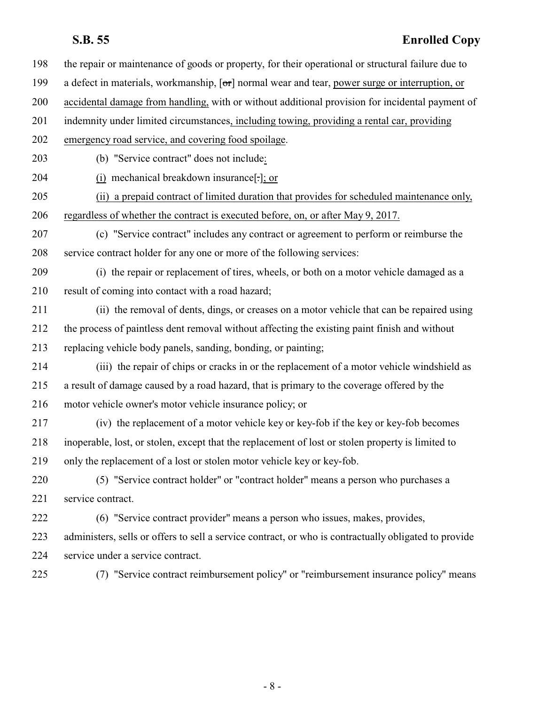| 198 | the repair or maintenance of goods or property, for their operational or structural failure due to    |
|-----|-------------------------------------------------------------------------------------------------------|
| 199 | a defect in materials, workmanship, [or] normal wear and tear, power surge or interruption, or        |
| 200 | accidental damage from handling, with or without additional provision for incidental payment of       |
| 201 | indemnity under limited circumstances, including towing, providing a rental car, providing            |
| 202 | emergency road service, and covering food spoilage.                                                   |
| 203 | (b) "Service contract" does not include:                                                              |
| 204 | (i) mechanical breakdown insurance[-]; or                                                             |
| 205 | (ii) a prepaid contract of limited duration that provides for scheduled maintenance only,             |
| 206 | regardless of whether the contract is executed before, on, or after May 9, 2017.                      |
| 207 | (c) "Service contract" includes any contract or agreement to perform or reimburse the                 |
| 208 | service contract holder for any one or more of the following services:                                |
| 209 | (i) the repair or replacement of tires, wheels, or both on a motor vehicle damaged as a               |
| 210 | result of coming into contact with a road hazard;                                                     |
| 211 | (ii) the removal of dents, dings, or creases on a motor vehicle that can be repaired using            |
| 212 | the process of paintless dent removal without affecting the existing paint finish and without         |
| 213 | replacing vehicle body panels, sanding, bonding, or painting;                                         |
| 214 | (iii) the repair of chips or cracks in or the replacement of a motor vehicle windshield as            |
| 215 | a result of damage caused by a road hazard, that is primary to the coverage offered by the            |
| 216 | motor vehicle owner's motor vehicle insurance policy; or                                              |
| 217 | (iv) the replacement of a motor vehicle key or key-fob if the key or key-fob becomes                  |
| 218 | inoperable, lost, or stolen, except that the replacement of lost or stolen property is limited to     |
| 219 | only the replacement of a lost or stolen motor vehicle key or key-fob.                                |
| 220 | (5) "Service contract holder" or "contract holder" means a person who purchases a                     |
| 221 | service contract.                                                                                     |
| 222 | (6) "Service contract provider" means a person who issues, makes, provides,                           |
| 223 | administers, sells or offers to sell a service contract, or who is contractually obligated to provide |
| 224 | service under a service contract.                                                                     |
| 225 | (7) "Service contract reimbursement policy" or "reimbursement insurance policy" means                 |
|     |                                                                                                       |